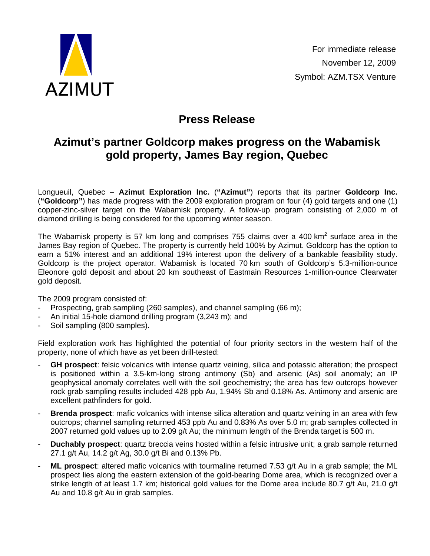

## **Press Release**

## **Azimut's partner Goldcorp makes progress on the Wabamisk gold property, James Bay region, Quebec**

Longueuil, Quebec – **Azimut Exploration Inc.** (**"Azimut"**) reports that its partner **Goldcorp Inc.** (**"Goldcorp"**) has made progress with the 2009 exploration program on four (4) gold targets and one (1) copper-zinc-silver target on the Wabamisk property. A follow-up program consisting of 2,000 m of diamond drilling is being considered for the upcoming winter season.

The Wabamisk property is 57 km long and comprises 755 claims over a 400 km<sup>2</sup> surface area in the James Bay region of Quebec. The property is currently held 100% by Azimut. Goldcorp has the option to earn a 51% interest and an additional 19% interest upon the delivery of a bankable feasibility study. Goldcorp is the project operator. Wabamisk is located 70 km south of Goldcorp's 5.3-million-ounce Eleonore gold deposit and about 20 km southeast of Eastmain Resources 1-million-ounce Clearwater gold deposit.

The 2009 program consisted of:

- Prospecting, grab sampling (260 samples), and channel sampling (66 m):
- An initial 15-hole diamond drilling program (3,243 m); and
- Soil sampling (800 samples).

Field exploration work has highlighted the potential of four priority sectors in the western half of the property, none of which have as yet been drill-tested:

- **GH prospect**: felsic volcanics with intense quartz veining, silica and potassic alteration; the prospect is positioned within a 3.5-km-long strong antimony (Sb) and arsenic (As) soil anomaly; an IP geophysical anomaly correlates well with the soil geochemistry; the area has few outcrops however rock grab sampling results included 428 ppb Au, 1.94% Sb and 0.18% As. Antimony and arsenic are excellent pathfinders for gold.
- **Brenda prospect:** mafic volcanics with intense silica alteration and quartz veining in an area with few outcrops; channel sampling returned 453 ppb Au and 0.83% As over 5.0 m; grab samples collected in 2007 returned gold values up to 2.09 g/t Au; the minimum length of the Brenda target is 500 m.
- **Duchably prospect:** quartz breccia veins hosted within a felsic intrusive unit; a grab sample returned 27.1 g/t Au, 14.2 g/t Ag, 30.0 g/t Bi and 0.13% Pb.
- **ML prospect**: altered mafic volcanics with tourmaline returned 7.53 g/t Au in a grab sample; the ML prospect lies along the eastern extension of the gold-bearing Dome area, which is recognized over a strike length of at least 1.7 km; historical gold values for the Dome area include 80.7 g/t Au, 21.0 g/t Au and 10.8 g/t Au in grab samples.